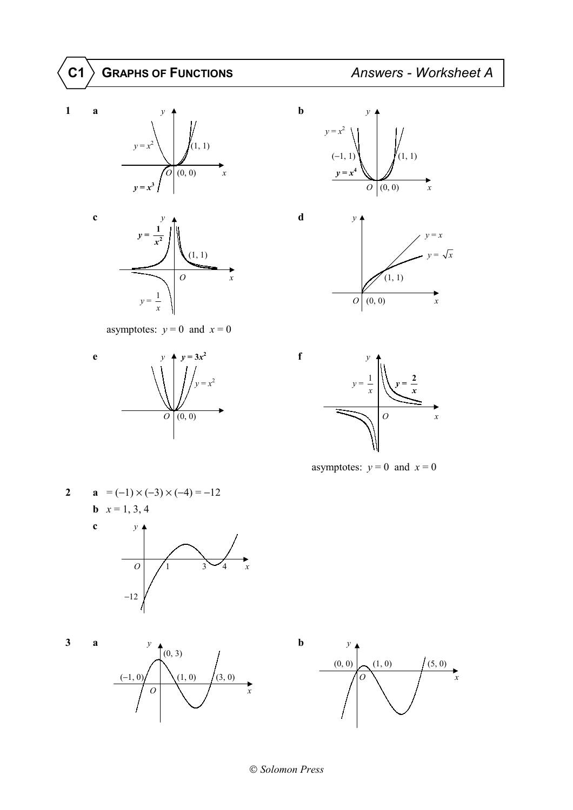







asymptotes:  $y = 0$  and  $x = 0$ 









asymptotes:  $y = 0$  and  $x = 0$ 







*Solomon Press*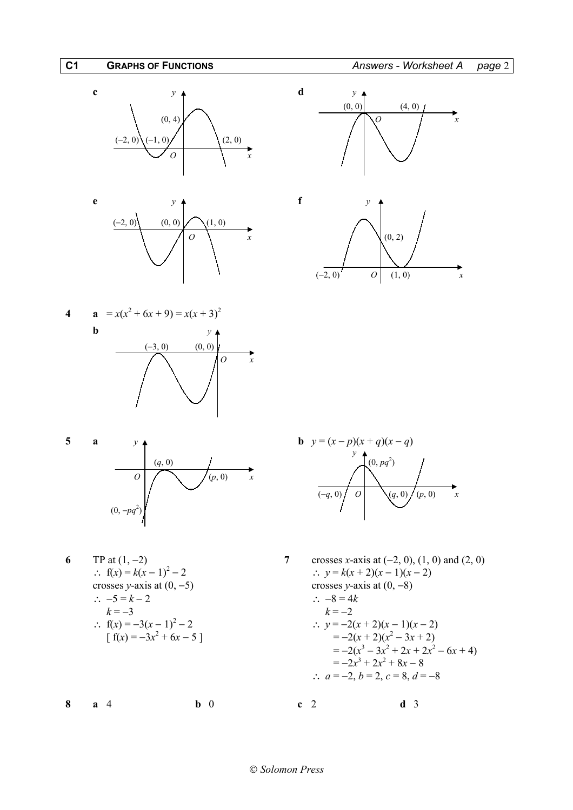











∴  $-5 = k - 2$  $k = -3$  *k* =  $-2$  $\int f(x) = -3x^2$ 

**8 a** 4 **b** 0 **c** 2 **d** 3

*y*  $\bigcap_{n=1}^{\infty} (0, pq^2)$ 

**6 TP** at  $(1, -2)$  **7** crosses *x*-axis at  $(-2, 0)$ ,  $(1, 0)$  and  $(2, 0)$ ∴  $f(x) = k(x-1)^2 - 2$  ∴  $y = k(x+2)(x-1)(x-2)$ crosses *y*-axis at  $(0, -5)$  crosses *y*-axis at  $(0, -8)$ <br>∴  $-5 = k - 2$  ∴  $-8 = 4k$ ∴  $f(x) = -3(x-1)^2 - 2$  ∴  $y = -2(x+2)(x-1)(x-2)$  $+ 6x - 5$ ] =  $-2(x + 2)(x<sup>2</sup> – 3x + 2)$  $=-2(x)$  $3^3 - 3x^2 + 2x + 2x^2 - 6x + 4$  $=-2x$  $3^3 + 2x^2 + 8x - 8$ ∴  $a = -2, b = 2, c = 8, d = -8$